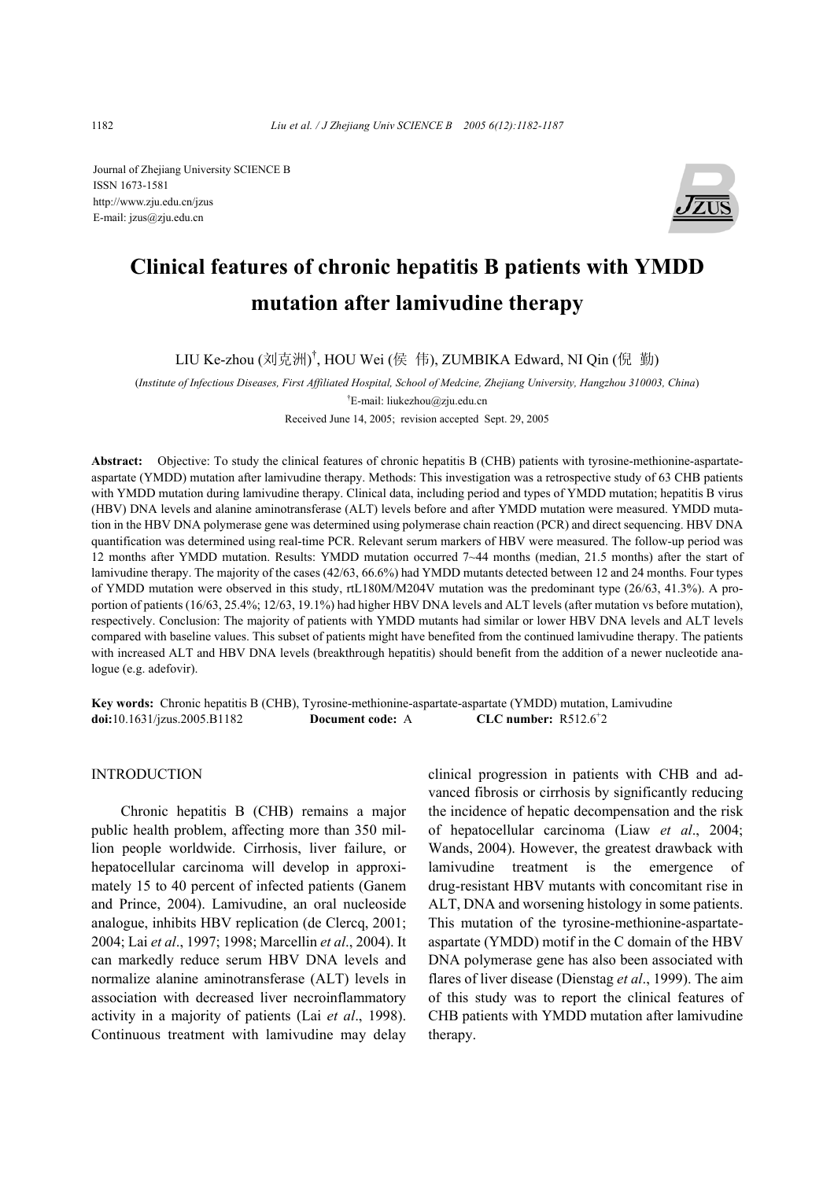Journal of Zhejiang University SCIENCE B ISSN 1673-1581 http://www.zju.edu.cn/jzus E-mail: jzus@zju.edu.cn



# **Clinical features of chronic hepatitis B patients with YMDD mutation after lamivudine therapy**

LIU Ke-zhou (刘克洲)<sup>†</sup>, HOU Wei (侯 伟), ZUMBIKA Edward, NI Qin (倪 勤)

(*Institute of Infectious Diseases, First Affiliated Hospital, School of Medcine, Zhejiang University, Hangzhou 310003, China*) † E-mail: liukezhou@zju.edu.cn

Received June 14, 2005; revision accepted Sept. 29, 2005

**Abstract:** Objective: To study the clinical features of chronic hepatitis B (CHB) patients with tyrosine-methionine-aspartateaspartate (YMDD) mutation after lamivudine therapy. Methods: This investigation was a retrospective study of 63 CHB patients with YMDD mutation during lamivudine therapy. Clinical data, including period and types of YMDD mutation; hepatitis B virus (HBV) DNA levels and alanine aminotransferase (ALT) levels before and after YMDD mutation were measured. YMDD mutation in the HBV DNA polymerase gene was determined using polymerase chain reaction (PCR) and direct sequencing. HBV DNA quantification was determined using real-time PCR. Relevant serum markers of HBV were measured. The follow-up period was 12 months after YMDD mutation. Results: YMDD mutation occurred 7~44 months (median, 21.5 months) after the start of lamivudine therapy. The majority of the cases (42/63, 66.6%) had YMDD mutants detected between 12 and 24 months. Four types of YMDD mutation were observed in this study, rtL180M/M204V mutation was the predominant type (26/63, 41.3%). A proportion of patients (16/63, 25.4%; 12/63, 19.1%) had higher HBV DNA levels and ALT levels (after mutation vs before mutation), respectively. Conclusion: The majority of patients with YMDD mutants had similar or lower HBV DNA levels and ALT levels compared with baseline values. This subset of patients might have benefited from the continued lamivudine therapy. The patients with increased ALT and HBV DNA levels (breakthrough hepatitis) should benefit from the addition of a newer nucleotide analogue (e.g. adefovir).

**Key words:** Chronic hepatitis B (CHB), Tyrosine-methionine-aspartate-aspartate (YMDD) mutation, Lamivudine **doi:**10.1631/jzus.2005.B1182 **Document code:** A CLC number:  $R512.6^+2$ 

#### INTRODUCTION

Chronic hepatitis B (CHB) remains a major public health problem, affecting more than 350 million people worldwide. Cirrhosis, liver failure, or hepatocellular carcinoma will develop in approximately 15 to 40 percent of infected patients (Ganem and Prince, 2004). Lamivudine, an oral nucleoside analogue, inhibits HBV replication (de Clercq, 2001; 2004; Lai *et al*., 1997; 1998; Marcellin *et al*., 2004). It can markedly reduce serum HBV DNA levels and normalize alanine aminotransferase (ALT) levels in association with decreased liver necroinflammatory activity in a majority of patients (Lai *et al*., 1998). Continuous treatment with lamivudine may delay

clinical progression in patients with CHB and advanced fibrosis or cirrhosis by significantly reducing the incidence of hepatic decompensation and the risk of hepatocellular carcinoma (Liaw *et al*., 2004; Wands, 2004). However, the greatest drawback with lamivudine treatment is the emergence of drug-resistant HBV mutants with concomitant rise in ALT, DNA and worsening histology in some patients. This mutation of the tyrosine-methionine-aspartateaspartate (YMDD) motif in the C domain of the HBV DNA polymerase gene has also been associated with flares of liver disease (Dienstag *et al*., 1999). The aim of this study was to report the clinical features of CHB patients with YMDD mutation after lamivudine therapy.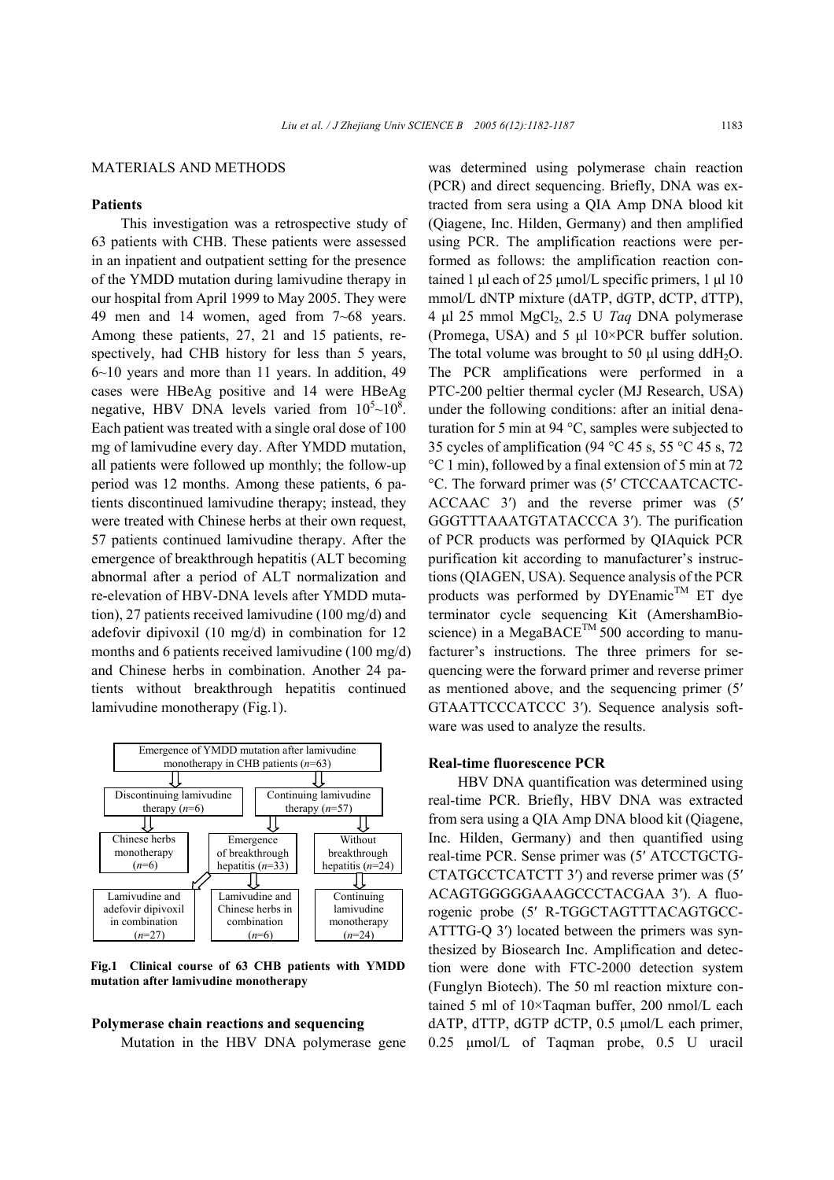#### MATERIALS AND METHODS

### **Patients**

This investigation was a retrospective study of 63 patients with CHB. These patients were assessed in an inpatient and outpatient setting for the presence of the YMDD mutation during lamivudine therapy in our hospital from April 1999 to May 2005. They were 49 men and 14 women, aged from 7~68 years. Among these patients, 27, 21 and 15 patients, respectively, had CHB history for less than 5 years, 6~10 years and more than 11 years. In addition, 49 cases were HBeAg positive and 14 were HBeAg negative, HBV DNA levels varied from  $10^5 \sim 10^8$ . Each patient was treated with a single oral dose of 100 mg of lamivudine every day. After YMDD mutation, all patients were followed up monthly; the follow-up period was 12 months. Among these patients, 6 patients discontinued lamivudine therapy; instead, they were treated with Chinese herbs at their own request, 57 patients continued lamivudine therapy. After the emergence of breakthrough hepatitis (ALT becoming abnormal after a period of ALT normalization and re-elevation of HBV-DNA levels after YMDD mutation), 27 patients received lamivudine (100 mg/d) and adefovir dipivoxil (10 mg/d) in combination for 12 months and 6 patients received lamivudine (100 mg/d) and Chinese herbs in combination. Another 24 patients without breakthrough hepatitis continued lamivudine monotherapy (Fig.1).



**Fig.1 Clinical course of 63 CHB patients with YMDD mutation after lamivudine monotherapy** 

#### **Polymerase chain reactions and sequencing**

Mutation in the HBV DNA polymerase gene

was determined using polymerase chain reaction (PCR) and direct sequencing. Briefly, DNA was extracted from sera using a QIA Amp DNA blood kit (Qiagene, Inc. Hilden, Germany) and then amplified using PCR. The amplification reactions were performed as follows: the amplification reaction contained 1 µl each of 25 µmol/L specific primers, 1 µl 10 mmol/L dNTP mixture (dATP, dGTP, dCTP, dTTP), 4 µl 25 mmol MgCl2, 2.5 U *Taq* DNA polymerase (Promega, USA) and 5 µl 10×PCR buffer solution. The total volume was brought to 50  $\mu$ l using ddH<sub>2</sub>O. The PCR amplifications were performed in a PTC-200 peltier thermal cycler (MJ Research, USA) under the following conditions: after an initial denaturation for 5 min at 94 °C, samples were subjected to 35 cycles of amplification (94  $\degree$ C 45 s, 55  $\degree$ C 45 s, 72 °C 1 min), followed by a final extension of 5 min at 72 °C. The forward primer was (5′ CTCCAATCACTC-ACCAAC 3′) and the reverse primer was (5′ GGGTTTAAATGTATACCCA 3′). The purification of PCR products was performed by QIAquick PCR purification kit according to manufacturer's instructions (QIAGEN, USA). Sequence analysis of the PCR products was performed by DYEnamic<sup>TM</sup> ET dye terminator cycle sequencing Kit (AmershamBioscience) in a MegaBACE<sup>TM</sup> 500 according to manufacturer's instructions. The three primers for sequencing were the forward primer and reverse primer as mentioned above, and the sequencing primer (5′ GTAATTCCCATCCC 3′). Sequence analysis software was used to analyze the results.

#### **Real-time fluorescence PCR**

HBV DNA quantification was determined using real-time PCR. Briefly, HBV DNA was extracted from sera using a QIA Amp DNA blood kit (Qiagene, Inc. Hilden, Germany) and then quantified using real-time PCR. Sense primer was (5′ ATCCTGCTG-CTATGCCTCATCTT 3′) and reverse primer was (5′ ACAGTGGGGGAAAGCCCTACGAA 3′). A fluorogenic probe (5′ R-TGGCTAGTTTACAGTGCC-ATTTG-Q 3′) located between the primers was synthesized by Biosearch Inc. Amplification and detection were done with FTC-2000 detection system (Funglyn Biotech). The 50 ml reaction mixture contained 5 ml of 10×Taqman buffer, 200 nmol/L each dATP, dTTP, dGTP dCTP, 0.5 µmol/L each primer, 0.25 µmol/L of Taqman probe, 0.5 U uracil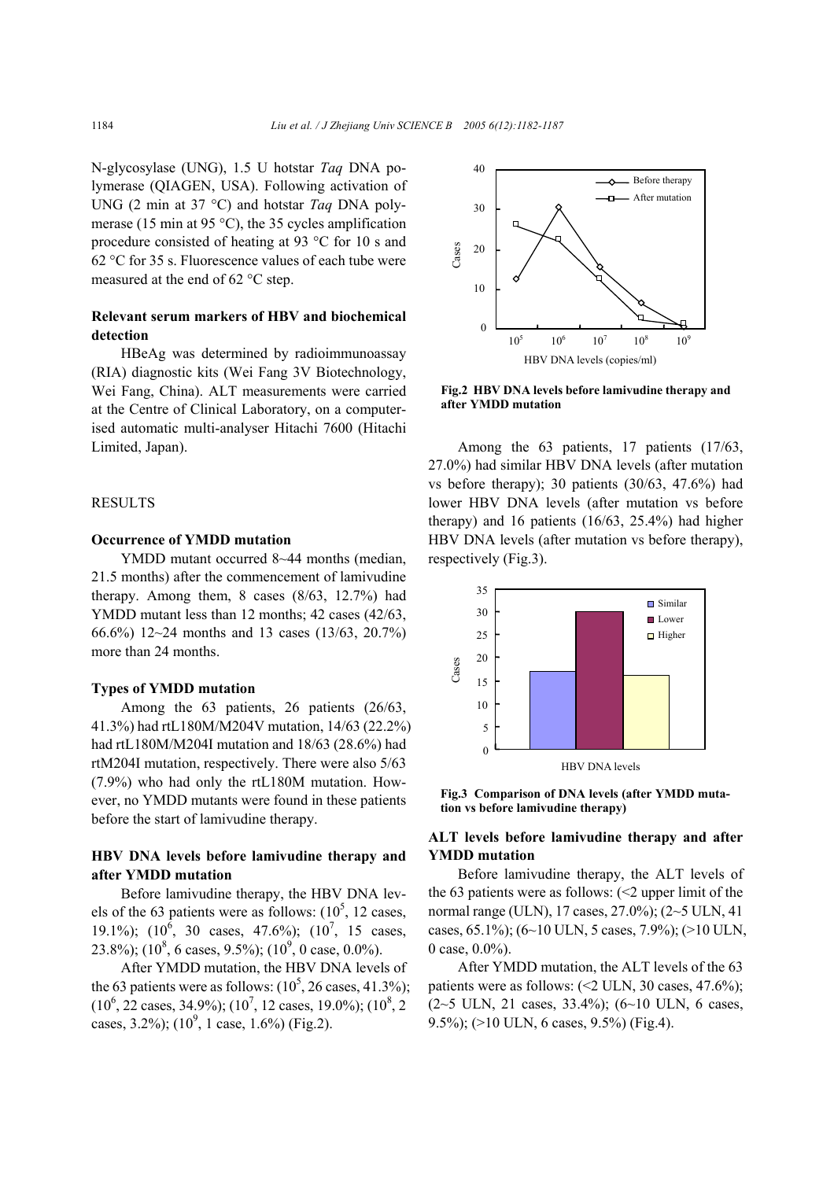N-glycosylase (UNG), 1.5 U hotstar *Taq* DNA polymerase (QIAGEN, USA). Following activation of UNG (2 min at 37 °C) and hotstar *Taq* DNA polymerase (15 min at 95 °C), the 35 cycles amplification procedure consisted of heating at 93 °C for 10 s and 62 °C for 35 s. Fluorescence values of each tube were measured at the end of 62 °C step.

# **Relevant serum markers of HBV and biochemical detection**

HBeAg was determined by radioimmunoassay (RIA) diagnostic kits (Wei Fang 3V Biotechnology, Wei Fang, China). ALT measurements were carried at the Centre of Clinical Laboratory, on a computerised automatic multi-analyser Hitachi 7600 (Hitachi Limited, Japan).

#### **RESULTS**

### **Occurrence of YMDD mutation**

YMDD mutant occurred 8~44 months (median, 21.5 months) after the commencement of lamivudine therapy. Among them, 8 cases (8/63, 12.7%) had YMDD mutant less than 12 months; 42 cases (42/63, 66.6%) 12~24 months and 13 cases (13/63, 20.7%) more than 24 months.

#### **Types of YMDD mutation**

Among the 63 patients, 26 patients (26/63, 41.3%) had rtL180M/M204V mutation, 14/63 (22.2%) had rtL180M/M204I mutation and 18/63 (28.6%) had rtM204I mutation, respectively. There were also 5/63 (7.9%) who had only the rtL180M mutation. However, no YMDD mutants were found in these patients before the start of lamivudine therapy.

## **HBV DNA levels before lamivudine therapy and after YMDD mutation**

Before lamivudine therapy, the HBV DNA levels of the 63 patients were as follows:  $(10^5, 12 \text{ cases},$ 19.1%);  $(10^6, 30 \text{ cases}, 47.6\%)$ ;  $(10^7, 15 \text{ cases},$ 23.8%); (10<sup>8</sup>, 6 cases, 9.5%); (10<sup>9</sup>, 0 case, 0.0%).

After YMDD mutation, the HBV DNA levels of the 63 patients were as follows:  $(10^5, 26 \text{ cases}, 41.3\%);$  $(10^6, 22 \text{ cases}, 34.9\%); (10^7, 12 \text{ cases}, 19.0\%); (10^8, 2)$ cases, 3.2%);  $(10^9, 1 \text{ case}, 1.6\%)$  (Fig.2).



**Fig.2 HBV DNA levels before lamivudine therapy and after YMDD mutation** 

Among the 63 patients, 17 patients (17/63, 27.0%) had similar HBV DNA levels (after mutation vs before therapy); 30 patients (30/63, 47.6%) had lower HBV DNA levels (after mutation vs before therapy) and 16 patients (16/63, 25.4%) had higher HBV DNA levels (after mutation vs before therapy), respectively (Fig.3).



**Fig.3 Comparison of DNA levels (after YMDD mutation vs before lamivudine therapy)** 

## **ALT levels before lamivudine therapy and after YMDD mutation**

Before lamivudine therapy, the ALT levels of the 63 patients were as follows:  $\leq$  upper limit of the normal range (ULN), 17 cases, 27.0%); (2~5 ULN, 41 cases, 65.1%); (6~10 ULN, 5 cases, 7.9%); (>10 ULN, 0 case, 0.0%).

After YMDD mutation, the ALT levels of the 63 patients were as follows:  $\langle 2 \text{ ULN}, 30 \text{ cases}, 47.6\% \rangle$ ;  $(2~5$  ULN, 21 cases, 33.4%);  $(6~10$  ULN, 6 cases, 9.5%); (>10 ULN, 6 cases, 9.5%) (Fig.4).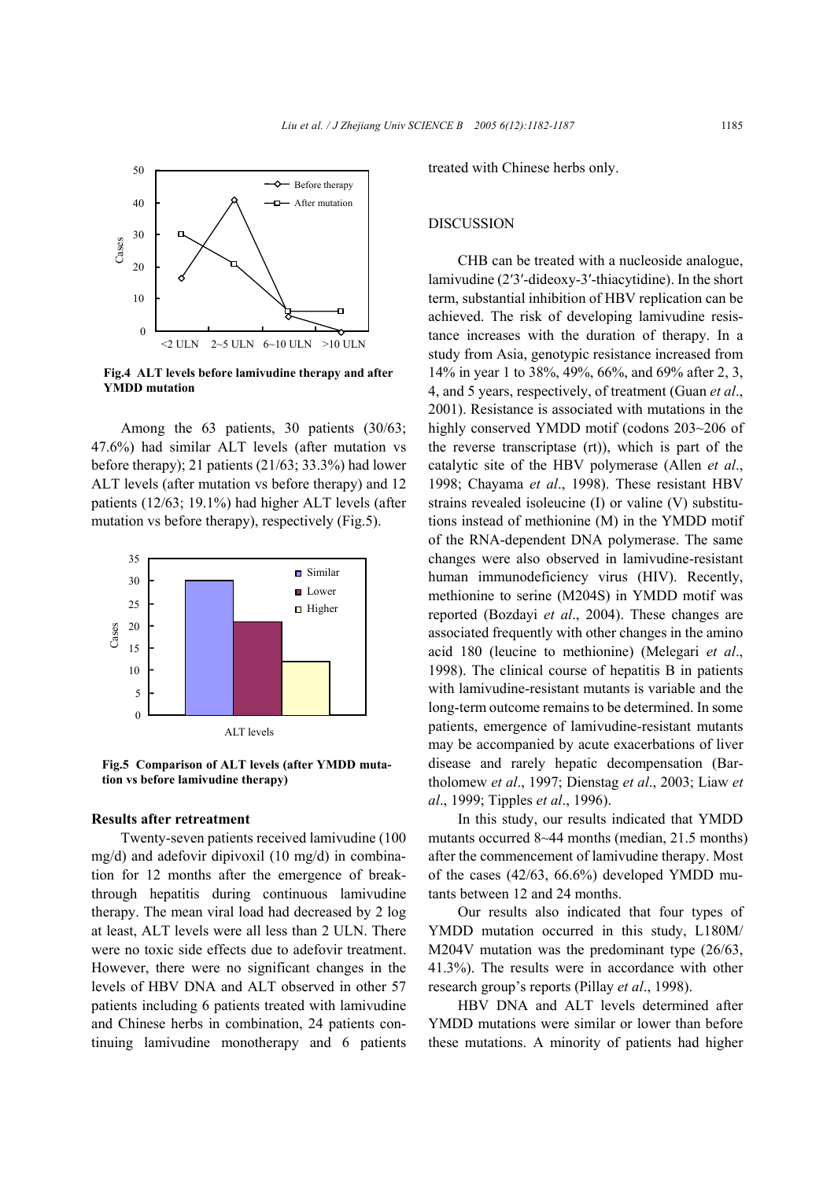

**Fig.4 ALT levels before lamivudine therapy and after YMDD mutation** 

Among the 63 patients, 30 patients (30/63; 47.6%) had similar ALT levels (after mutation vs before therapy); 21 patients (21/63; 33.3%) had lower ALT levels (after mutation vs before therapy) and 12 patients (12/63; 19.1%) had higher ALT levels (after mutation vs before therapy), respectively (Fig.5).



**Fig.5 Comparison of ALT levels (after YMDD mutation vs before lamivudine therapy)** 

#### **Results after retreatment**

Twenty-seven patients received lamivudine (100 mg/d) and adefovir dipivoxil (10 mg/d) in combination for 12 months after the emergence of breakthrough hepatitis during continuous lamivudine therapy. The mean viral load had decreased by 2 log at least, ALT levels were all less than 2 ULN. There were no toxic side effects due to adefovir treatment. However, there were no significant changes in the levels of HBV DNA and ALT observed in other 57 patients including 6 patients treated with lamivudine and Chinese herbs in combination, 24 patients continuing lamivudine monotherapy and 6 patients

treated with Chinese herbs only.

#### DISCUSSION

CHB can be treated with a nucleoside analogue, lamivudine (2′3′-dideoxy-3′-thiacytidine). In the short term, substantial inhibition of HBV replication can be achieved. The risk of developing lamivudine resistance increases with the duration of therapy. In a study from Asia, genotypic resistance increased from 14% in year 1 to 38%, 49%, 66%, and 69% after 2, 3, 4, and 5 years, respectively, of treatment (Guan *et al*., 2001). Resistance is associated with mutations in the highly conserved YMDD motif (codons 203~206 of the reverse transcriptase (rt)), which is part of the catalytic site of the HBV polymerase (Allen *et al*., 1998; Chayama *et al*., 1998). These resistant HBV strains revealed isoleucine (I) or valine (V) substitutions instead of methionine (M) in the YMDD motif of the RNA-dependent DNA polymerase. The same changes were also observed in lamivudine-resistant human immunodeficiency virus (HIV). Recently, methionine to serine (M204S) in YMDD motif was reported (Bozdayi *et al*., 2004). These changes are associated frequently with other changes in the amino acid 180 (leucine to methionine) (Melegari *et al*., 1998). The clinical course of hepatitis B in patients with lamivudine-resistant mutants is variable and the long-term outcome remains to be determined. In some patients, emergence of lamivudine-resistant mutants may be accompanied by acute exacerbations of liver disease and rarely hepatic decompensation (Bartholomew *et al*., 1997; Dienstag *et al*., 2003; Liaw *et al*., 1999; Tipples *et al*., 1996).

In this study, our results indicated that YMDD mutants occurred 8~44 months (median, 21.5 months) after the commencement of lamivudine therapy. Most of the cases (42/63, 66.6%) developed YMDD mutants between 12 and 24 months.

Our results also indicated that four types of YMDD mutation occurred in this study, L180M/ M204V mutation was the predominant type (26/63, 41.3%). The results were in accordance with other research group's reports (Pillay *et al*., 1998).

HBV DNA and ALT levels determined after YMDD mutations were similar or lower than before these mutations. A minority of patients had higher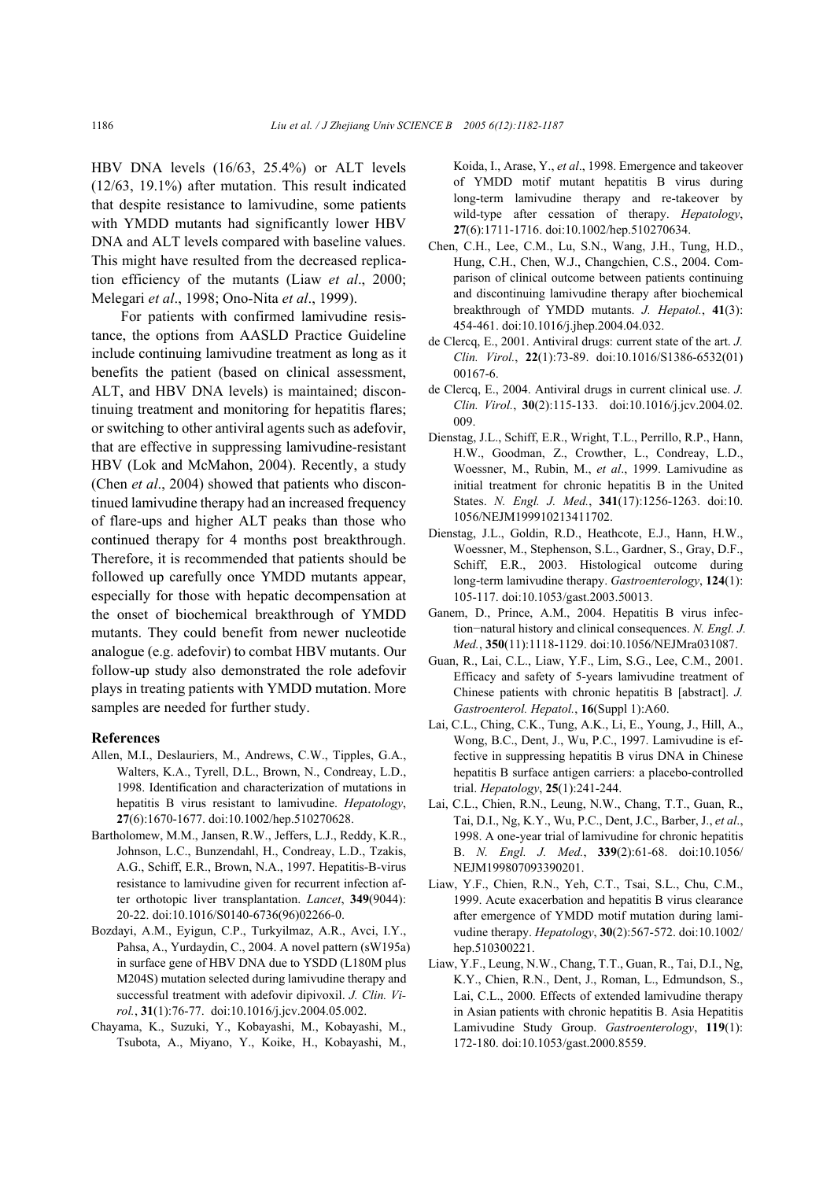HBV DNA levels (16/63, 25.4%) or ALT levels (12/63, 19.1%) after mutation. This result indicated that despite resistance to lamivudine, some patients with YMDD mutants had significantly lower HBV DNA and ALT levels compared with baseline values. This might have resulted from the decreased replication efficiency of the mutants (Liaw *et al*., 2000; Melegari *et al*., 1998; Ono-Nita *et al*., 1999).

For patients with confirmed lamivudine resistance, the options from AASLD Practice Guideline include continuing lamivudine treatment as long as it benefits the patient (based on clinical assessment, ALT, and HBV DNA levels) is maintained; discontinuing treatment and monitoring for hepatitis flares; or switching to other antiviral agents such as adefovir, that are effective in suppressing lamivudine-resistant HBV (Lok and McMahon, 2004). Recently, a study (Chen *et al*., 2004) showed that patients who discontinued lamivudine therapy had an increased frequency of flare-ups and higher ALT peaks than those who continued therapy for 4 months post breakthrough. Therefore, it is recommended that patients should be followed up carefully once YMDD mutants appear, especially for those with hepatic decompensation at the onset of biochemical breakthrough of YMDD mutants. They could benefit from newer nucleotide analogue (e.g. adefovir) to combat HBV mutants. Our follow-up study also demonstrated the role adefovir plays in treating patients with YMDD mutation. More samples are needed for further study.

#### **References**

- Allen, M.I., Deslauriers, M., Andrews, C.W., Tipples, G.A., Walters, K.A., Tyrell, D.L., Brown, N., Condreay, L.D., 1998. Identification and characterization of mutations in hepatitis B virus resistant to lamivudine. *Hepatology*, **27**(6):1670-1677. doi:10.1002/hep.510270628.
- Bartholomew, M.M., Jansen, R.W., Jeffers, L.J., Reddy, K.R., Johnson, L.C., Bunzendahl, H., Condreay, L.D., Tzakis, A.G., Schiff, E.R., Brown, N.A., 1997. Hepatitis-B-virus resistance to lamivudine given for recurrent infection after orthotopic liver transplantation. *Lancet*, **349**(9044): 20-22. doi:10.1016/S0140-6736(96)02266-0.
- Bozdayi, A.M., Eyigun, C.P., Turkyilmaz, A.R., Avci, I.Y., Pahsa, A., Yurdaydin, C., 2004. A novel pattern (sW195a) in surface gene of HBV DNA due to YSDD (L180M plus M204S) mutation selected during lamivudine therapy and successful treatment with adefovir dipivoxil. *J. Clin. Virol.*, **31**(1):76-77. doi:10.1016/j.jcv.2004.05.002.
- Chayama, K., Suzuki, Y., Kobayashi, M., Kobayashi, M., Tsubota, A., Miyano, Y., Koike, H., Kobayashi, M.,

Koida, I., Arase, Y., *et al*., 1998. Emergence and takeover of YMDD motif mutant hepatitis B virus during long-term lamivudine therapy and re-takeover by wild-type after cessation of therapy. *Hepatology*, **27**(6):1711-1716. doi:10.1002/hep.510270634.

- Chen, C.H., Lee, C.M., Lu, S.N., Wang, J.H., Tung, H.D., Hung, C.H., Chen, W.J., Changchien, C.S., 2004. Comparison of clinical outcome between patients continuing and discontinuing lamivudine therapy after biochemical breakthrough of YMDD mutants. *J. Hepatol.*, **41**(3): 454-461. doi:10.1016/j.jhep.2004.04.032.
- de Clercq, E., 2001. Antiviral drugs: current state of the art. *J. Clin. Virol.*, **22**(1):73-89. doi:10.1016/S1386-6532(01) 00167-6.
- de Clercq, E., 2004. Antiviral drugs in current clinical use. *J. Clin. Virol.*, **30**(2):115-133. doi:10.1016/j.jcv.2004.02. 009.
- Dienstag, J.L., Schiff, E.R., Wright, T.L., Perrillo, R.P., Hann, H.W., Goodman, Z., Crowther, L., Condreay, L.D., Woessner, M., Rubin, M., *et al*., 1999. Lamivudine as initial treatment for chronic hepatitis B in the United States. *N. Engl. J. Med.*, **341**(17):1256-1263. doi:10. 1056/NEJM199910213411702.
- Dienstag, J.L., Goldin, R.D., Heathcote, E.J., Hann, H.W., Woessner, M., Stephenson, S.L., Gardner, S., Gray, D.F., Schiff, E.R., 2003. Histological outcome during long-term lamivudine therapy. *Gastroenterology*, **124**(1): 105-117. doi:10.1053/gast.2003.50013.
- Ganem, D., Prince, A.M., 2004. Hepatitis B virus infection−natural history and clinical consequences. *N. Engl. J. Med.*, **350**(11):1118-1129. doi:10.1056/NEJMra031087.
- Guan, R., Lai, C.L., Liaw, Y.F., Lim, S.G., Lee, C.M., 2001. Efficacy and safety of 5-years lamivudine treatment of Chinese patients with chronic hepatitis B [abstract]. *J. Gastroenterol. Hepatol.*, **16**(Suppl 1):A60.
- Lai, C.L., Ching, C.K., Tung, A.K., Li, E., Young, J., Hill, A., Wong, B.C., Dent, J., Wu, P.C., 1997. Lamivudine is effective in suppressing hepatitis B virus DNA in Chinese hepatitis B surface antigen carriers: a placebo-controlled trial. *Hepatology*, **25**(1):241-244.
- Lai, C.L., Chien, R.N., Leung, N.W., Chang, T.T., Guan, R., Tai, D.I., Ng, K.Y., Wu, P.C., Dent, J.C., Barber, J., *et al*., 1998. A one-year trial of lamivudine for chronic hepatitis B. *N. Engl. J. Med.*, **339**(2):61-68. doi:10.1056/ NEJM199807093390201.
- Liaw, Y.F., Chien, R.N., Yeh, C.T., Tsai, S.L., Chu, C.M., 1999. Acute exacerbation and hepatitis B virus clearance after emergence of YMDD motif mutation during lamivudine therapy. *Hepatology*, **30**(2):567-572. doi:10.1002/ hep.510300221.
- Liaw, Y.F., Leung, N.W., Chang, T.T., Guan, R., Tai, D.I., Ng, K.Y., Chien, R.N., Dent, J., Roman, L., Edmundson, S., Lai, C.L., 2000. Effects of extended lamivudine therapy in Asian patients with chronic hepatitis B. Asia Hepatitis Lamivudine Study Group. *Gastroenterology*, **119**(1): 172-180. doi:10.1053/gast.2000.8559.